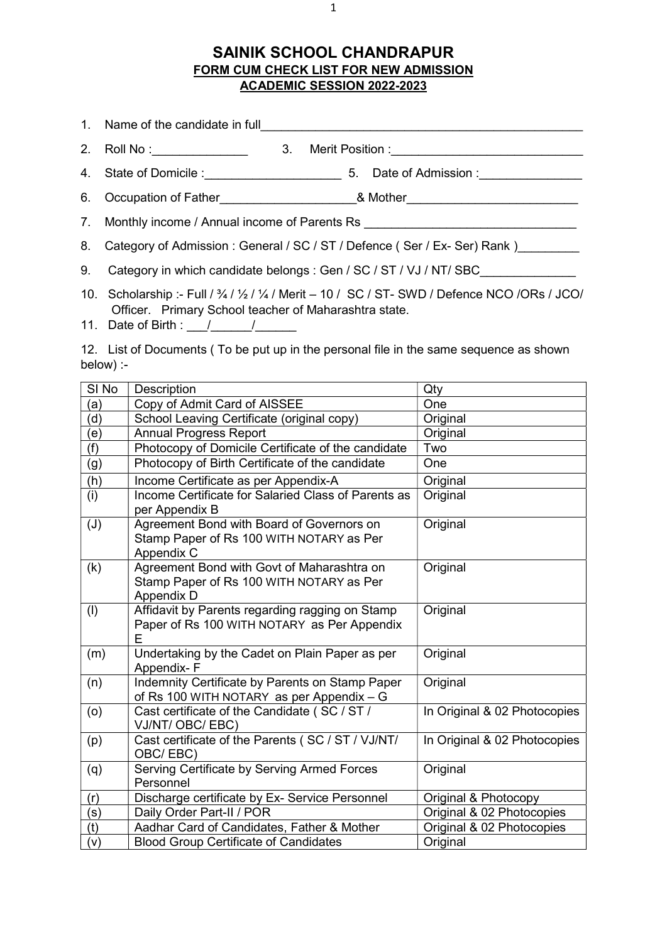## SAINIK SCHOOL CHANDRAPUR FORM CUM CHECK LIST FOR NEW ADMISSION ACADEMIC SESSION 2022-2023

|                                                                                  |    | 1. Name of the candidate in full <b>container the container and container the container of the candidate in full</b> |
|----------------------------------------------------------------------------------|----|----------------------------------------------------------------------------------------------------------------------|
| 2. Roll No :______________                                                       | 3. | Merit Position :______________________________                                                                       |
|                                                                                  |    | 4. State of Domicile : 5. Date of Admission : 1. The State of Domicile :                                             |
|                                                                                  |    |                                                                                                                      |
| 7. Monthly income / Annual income of Parents Rs ________________________________ |    |                                                                                                                      |
| 8. Category of Admission: General / SC / ST / Defence (Ser / Ex- Ser) Rank )     |    |                                                                                                                      |

9. Category in which candidate belongs : Gen / SC / ST / VJ / NT/ SBC

- 10. Scholarship :- Full / ¾ / ½ / ¼ / Merit 10 / SC / ST- SWD / Defence NCO /ORs / JCO/ Officer. Primary School teacher of Maharashtra state.
- 11. Date of Birth :  $\frac{1}{2}$  /  $\frac{1}{2}$

12. List of Documents ( To be put up in the personal file in the same sequence as shown below) :-

| SI <sub>No</sub> | <b>Description</b>                                                                                   | Qty                          |
|------------------|------------------------------------------------------------------------------------------------------|------------------------------|
| (a)              | Copy of Admit Card of AISSEE                                                                         | One                          |
| (d)              | School Leaving Certificate (original copy)                                                           | Original                     |
| (e)              | <b>Annual Progress Report</b>                                                                        | Original                     |
| (f)              | Photocopy of Domicile Certificate of the candidate                                                   | Two                          |
| (g)              | Photocopy of Birth Certificate of the candidate                                                      | One                          |
| (h)              | Income Certificate as per Appendix-A                                                                 | Original                     |
| (i)              | Income Certificate for Salaried Class of Parents as<br>per Appendix B                                | Original                     |
| (J)              | Agreement Bond with Board of Governors on<br>Stamp Paper of Rs 100 WITH NOTARY as Per<br>Appendix C  | Original                     |
| (k)              | Agreement Bond with Govt of Maharashtra on<br>Stamp Paper of Rs 100 WITH NOTARY as Per<br>Appendix D | Original                     |
| (1)              | Affidavit by Parents regarding ragging on Stamp<br>Paper of Rs 100 WITH NOTARY as Per Appendix<br>F  | Original                     |
| (m)              | Undertaking by the Cadet on Plain Paper as per<br>Appendix-F                                         | Original                     |
| (n)              | Indemnity Certificate by Parents on Stamp Paper<br>of Rs 100 WITH NOTARY as per Appendix - G         | Original                     |
| (o)              | Cast certificate of the Candidate (SC / ST /<br>VJ/NT/OBC/EBC)                                       | In Original & 02 Photocopies |
| (p)              | Cast certificate of the Parents (SC / ST / VJ/NT/<br>OBC/EBC)                                        | In Original & 02 Photocopies |
| (q)              | Serving Certificate by Serving Armed Forces<br>Personnel                                             | Original                     |
| (r)              | Discharge certificate by Ex- Service Personnel                                                       | Original & Photocopy         |
| (s)              | Daily Order Part-II / POR                                                                            | Original & 02 Photocopies    |
| (t)              | Aadhar Card of Candidates, Father & Mother                                                           | Original & 02 Photocopies    |
| (v)              | <b>Blood Group Certificate of Candidates</b>                                                         | Original                     |

1